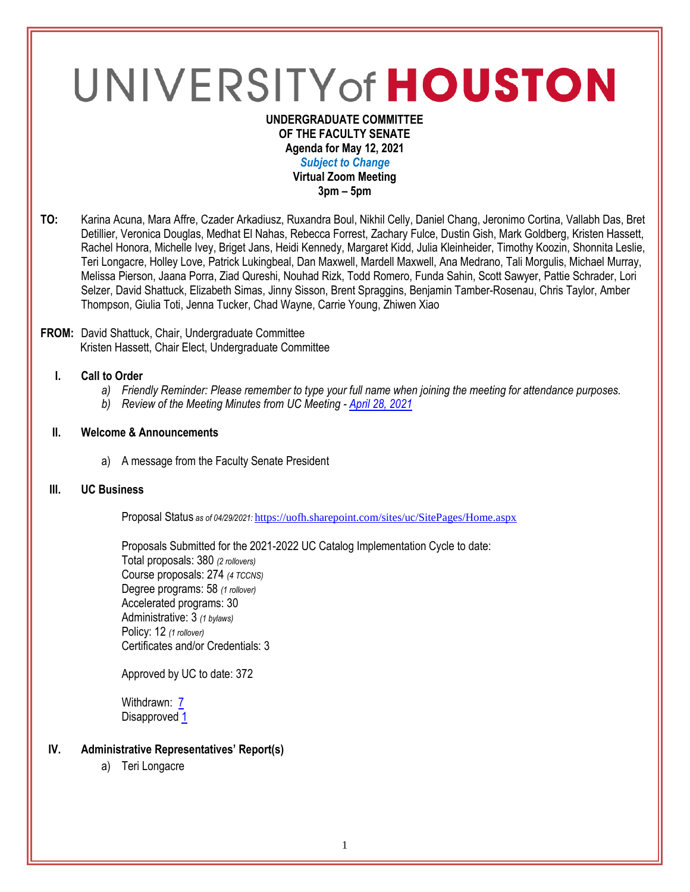# UNIVERSITY of HOUSTON

#### **UNDERGRADUATE COMMITTEE OF THE FACULTY SENATE Agenda for May 12, 2021** *Subject to Change* **Virtual Zoom Meeting 3pm – 5pm**

**TO:** Karina Acuna, Mara Affre, Czader Arkadiusz, Ruxandra Boul, Nikhil Celly, Daniel Chang, Jeronimo Cortina, Vallabh Das, Bret Detillier, Veronica Douglas, Medhat El Nahas, Rebecca Forrest, Zachary Fulce, Dustin Gish, Mark Goldberg, Kristen Hassett, Rachel Honora, Michelle Ivey, Briget Jans, Heidi Kennedy, Margaret Kidd, Julia Kleinheider, Timothy Koozin, Shonnita Leslie, Teri Longacre, Holley Love, Patrick Lukingbeal, Dan Maxwell, Mardell Maxwell, Ana Medrano, Tali Morgulis, Michael Murray, Melissa Pierson, Jaana Porra, Ziad Qureshi, Nouhad Rizk, Todd Romero, Funda Sahin, Scott Sawyer, Pattie Schrader, Lori Selzer, David Shattuck, Elizabeth Simas, Jinny Sisson, Brent Spraggins, Benjamin Tamber-Rosenau, Chris Taylor, Amber Thompson, Giulia Toti, Jenna Tucker, Chad Wayne, Carrie Young, Zhiwen Xiao

#### **FROM:** David Shattuck, Chair, Undergraduate Committee Kristen Hassett, Chair Elect, Undergraduate Committee

## **I. Call to Order**

- *a) Friendly Reminder: Please remember to type your full name when joining the meeting for attendance purposes.*
- *b) Review of the Meeting Minutes from UC Meeting - April [28, 2021](https://uh.edu/undergraduate-committee/meetings/agendas-minutes/ay-2021/m_2021_04282.pdf)*

## **II. Welcome & Announcements**

a) A message from the Faculty Senate President

#### **III. UC Business**

Proposal Status *as of 04/29/2021:* <https://uofh.sharepoint.com/sites/uc/SitePages/Home.aspx>

Proposals Submitted for the 2021-2022 UC Catalog Implementation Cycle to date: Total proposals: 380 *(2 rollovers)* Course proposals: 274 *(4 TCCNS)* Degree programs: 58 *(1 rollover)* Accelerated programs: 30 Administrative: 3 *(1 bylaws)* Policy: 12 *(1 rollover)* Certificates and/or Credentials: 3

Approved by UC to date: 372

Withdrawn: **[7](https://uofh.sharepoint.com/sites/uc/Lists/ProposalSubmissionAndTracking/Submitted%20Proposals%20%20Current%20Year%20%20Grouped.aspx?FilterField1=Proposal%5Fx0020%5FStatus&FilterValue1=Withdrawn%20%2D%20See%20Proposal%20Notes&FilterType1=Choice&viewid=3e8f7d7c%2Dd8a4%2D43cd%2D8f0e%2D60cc2ac81fe6)** Disapproved [1](https://uofh.sharepoint.com/:li:/s/uc/E4ACd2YrndNIh854YCMsgNoBnWyeRire7dlsOkBjjfwASw?e=8ubTQF)

## **IV. Administrative Representatives' Report(s)**

a) Teri Longacre